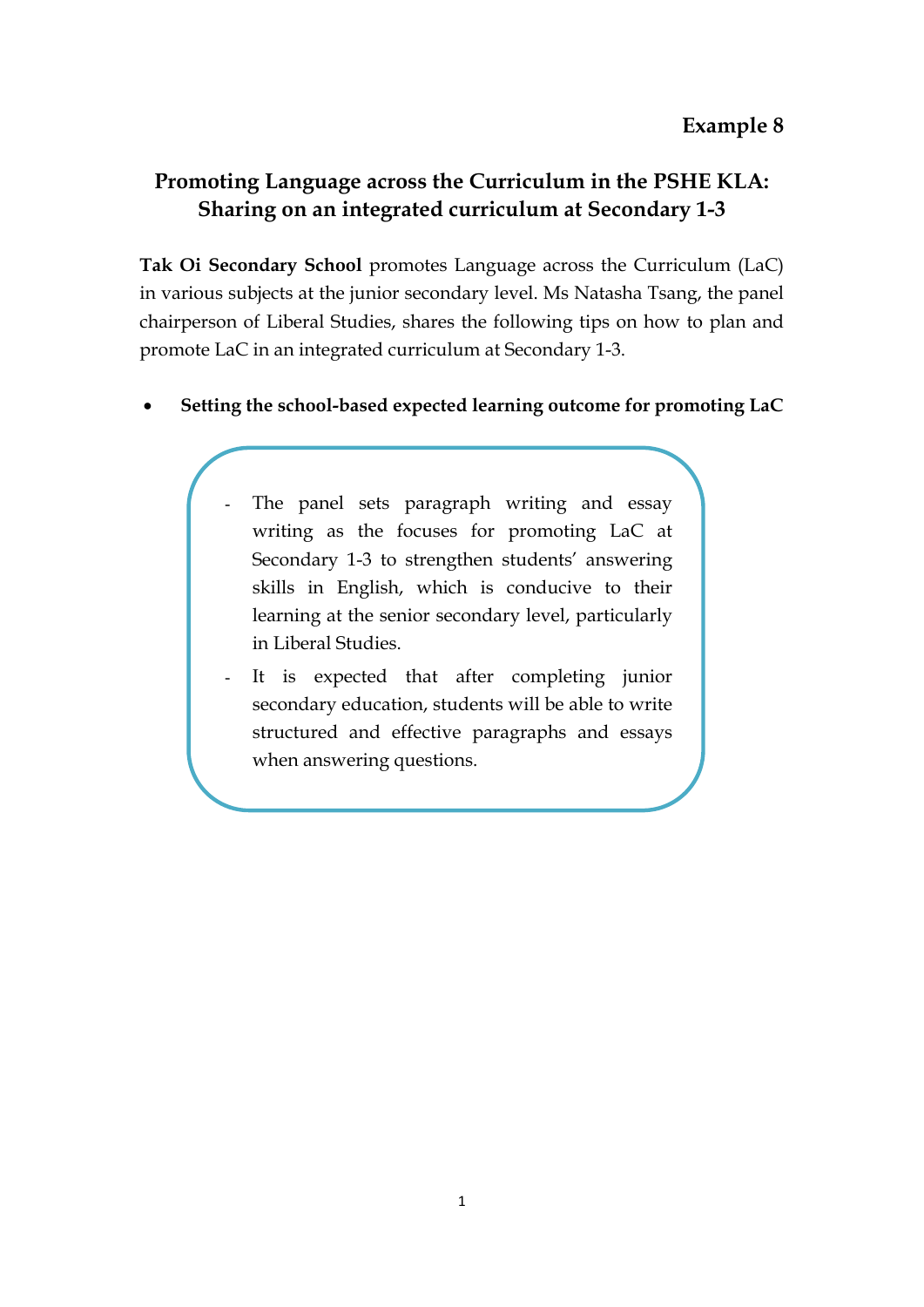## **Promoting Language across the Curriculum in the PSHE KLA: Sharing on an integrated curriculum at Secondary 1-3**

**Tak Oi Secondary School** promotes Language across the Curriculum (LaC) in various subjects at the junior secondary level. Ms Natasha Tsang, the panel chairperson of Liberal Studies, shares the following tips on how to plan and promote LaC in an integrated curriculum at Secondary 1-3.

- **Setting the school-based expected learning outcome for promoting LaC**
	- The panel sets paragraph writing and essay writing as the focuses for promoting LaC at Secondary 1-3 to strengthen students' answering skills in English, which is conducive to their learning at the senior secondary level, particularly in Liberal Studies.
	- It is expected that after completing junior secondary education, students will be able to write structured and effective paragraphs and essays when answering questions.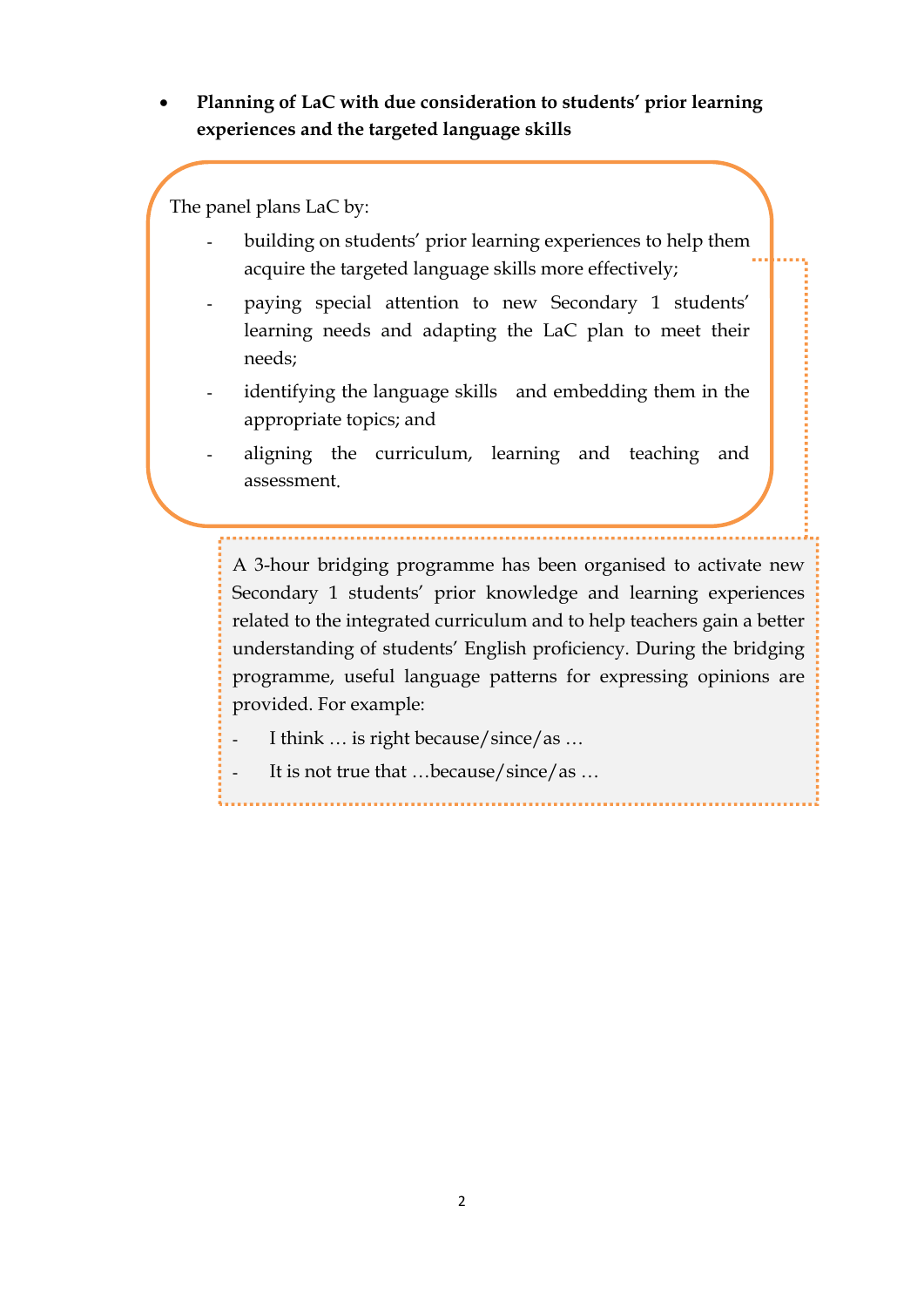• **Planning of LaC with due consideration to students' prior learning experiences and the targeted language skills**

The panel plans LaC by:

- building on students' prior learning experiences to help them acquire the targeted language skills more effectively;
- paying special attention to new Secondary 1 students' learning needs and adapting the LaC plan to meet their needs;
- identifying the language skills and embedding them in the appropriate topics; and
- aligning the curriculum, learning and teaching and assessment.

A 3-hour bridging programme has been organised to activate new Secondary 1 students' prior knowledge and learning experiences related to the integrated curriculum and to help teachers gain a better understanding of students' English proficiency. During the bridging programme, useful language patterns for expressing opinions are provided. For example:

- I think ... is right because/since/as ...
- It is not true that ...because/since/as ...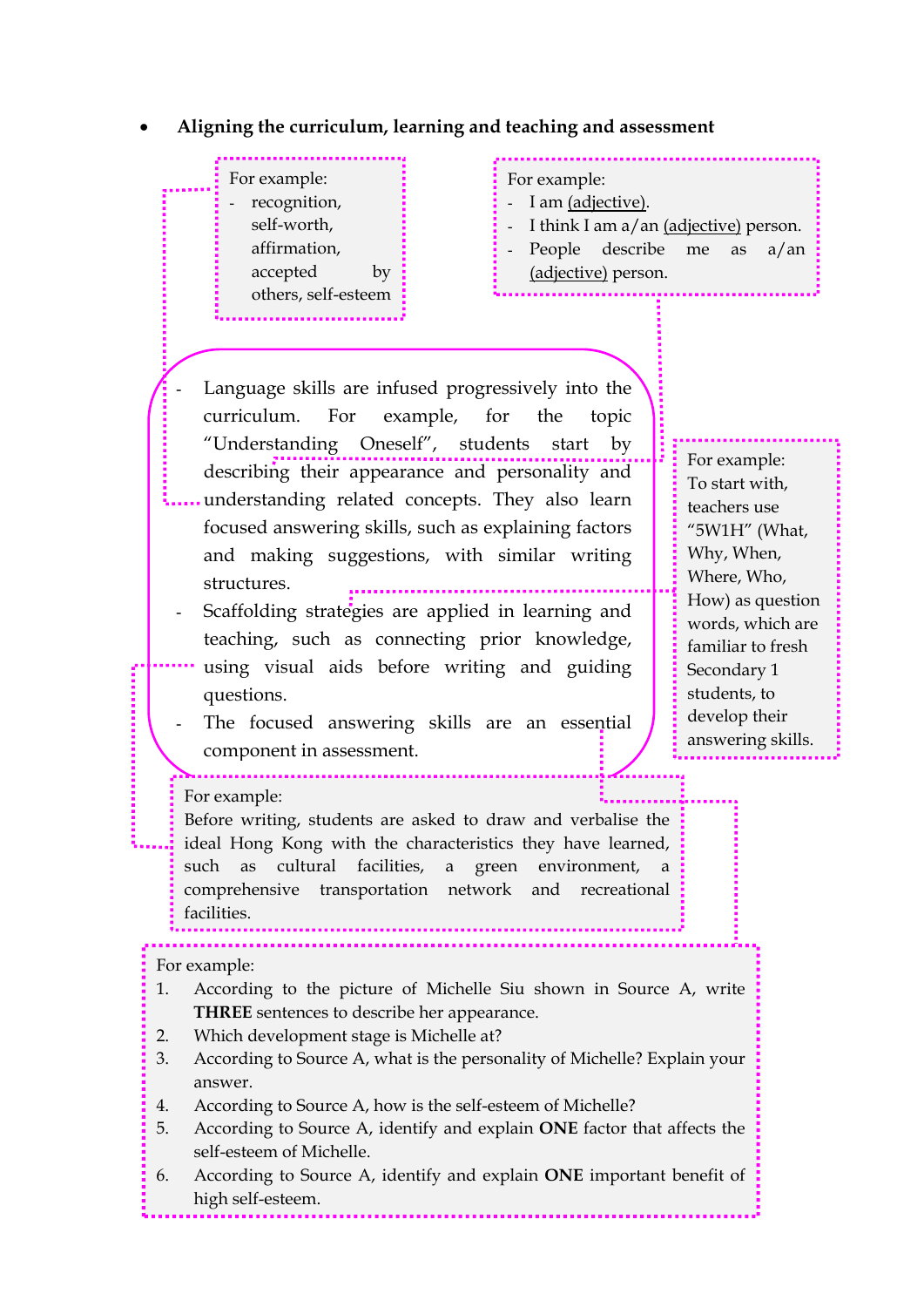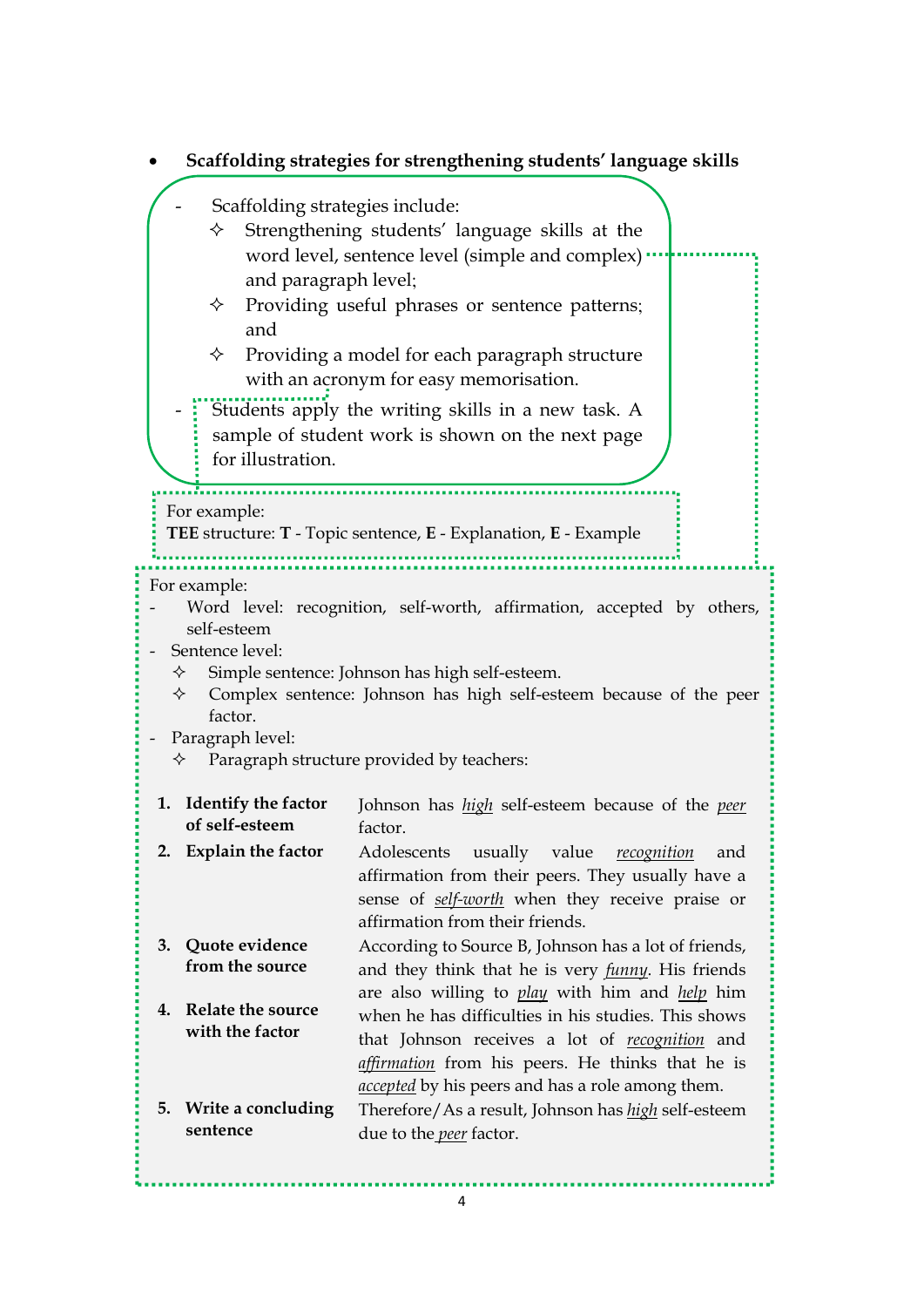|                                                                                                                                                                                                                                                                                                                                                                                                                                                                 | Scaffolding strategies for strengthening students' language skills                                                                                                                                                                                                                                                               |
|-----------------------------------------------------------------------------------------------------------------------------------------------------------------------------------------------------------------------------------------------------------------------------------------------------------------------------------------------------------------------------------------------------------------------------------------------------------------|----------------------------------------------------------------------------------------------------------------------------------------------------------------------------------------------------------------------------------------------------------------------------------------------------------------------------------|
| Scaffolding strategies include:<br>Strengthening students' language skills at the<br>✧<br>word level, sentence level (simple and complex)<br>and paragraph level;<br>Providing useful phrases or sentence patterns;<br>✧<br>and<br>Providing a model for each paragraph structure<br>✧<br>with an acronym for easy memorisation.<br>Students apply the writing skills in a new task. A<br>sample of student work is shown on the next page<br>for illustration. |                                                                                                                                                                                                                                                                                                                                  |
| For example:<br>TEE structure: T - Topic sentence, E - Explanation, E - Example                                                                                                                                                                                                                                                                                                                                                                                 |                                                                                                                                                                                                                                                                                                                                  |
| For example:<br>Word level: recognition, self-worth, affirmation, accepted by others,<br>self-esteem<br>Sentence level:<br>Simple sentence: Johnson has high self-esteem.<br>✧<br>Complex sentence: Johnson has high self-esteem because of the peer<br>✧<br>factor.<br>Paragraph level:<br>Paragraph structure provided by teachers:<br>✧                                                                                                                      |                                                                                                                                                                                                                                                                                                                                  |
| 1. Identify the factor<br>of self-esteem<br>2. Explain the factor                                                                                                                                                                                                                                                                                                                                                                                               | Johnson has <i>high</i> self-esteem because of the <i>peer</i><br>factor.<br>Adolescents<br>usually value<br>recognition<br>and<br>affirmation from their peers. They usually have a<br>sense of self-worth when they receive praise or<br>affirmation from their friends.                                                       |
| Quote evidence<br>3.<br>from the source<br><b>Relate the source</b><br>4.<br>with the factor                                                                                                                                                                                                                                                                                                                                                                    | According to Source B, Johnson has a lot of friends,<br>and they think that he is very <i>funny</i> . His friends<br>are also willing to play with him and help him<br>when he has difficulties in his studies. This shows<br>that Johnson receives a lot of recognition and<br>affirmation from his peers. He thinks that he is |
| Write a concluding<br>5.<br>sentence                                                                                                                                                                                                                                                                                                                                                                                                                            | <i>accepted</i> by his peers and has a role among them.<br>Therefore/As a result, Johnson has <i>high</i> self-esteem<br>due to the <i>peer</i> factor.                                                                                                                                                                          |

## 4